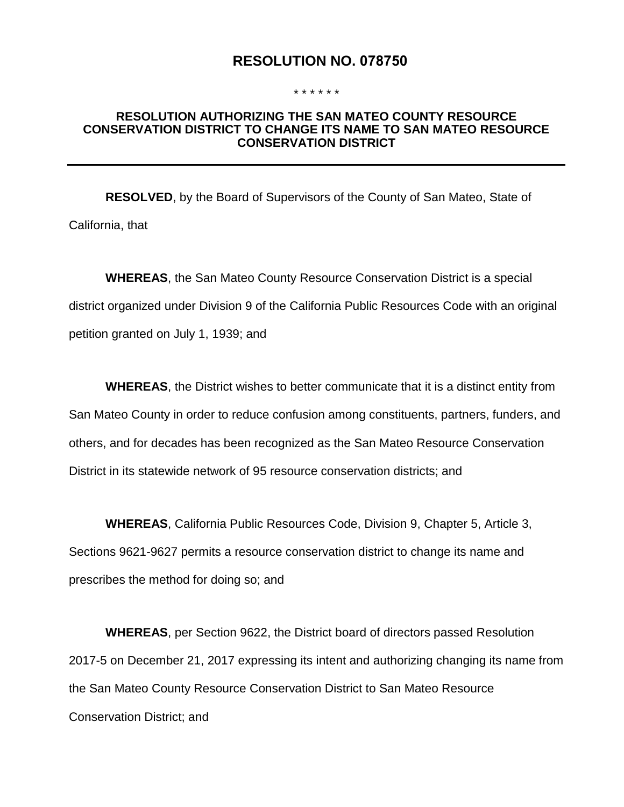# **RESOLUTION NO. 078750**

#### \* \* \* \* \* \*

### **RESOLUTION AUTHORIZING THE SAN MATEO COUNTY RESOURCE CONSERVATION DISTRICT TO CHANGE ITS NAME TO SAN MATEO RESOURCE CONSERVATION DISTRICT**

**RESOLVED**, by the Board of Supervisors of the County of San Mateo, State of California, that

**WHEREAS**, the San Mateo County Resource Conservation District is a special district organized under Division 9 of the California Public Resources Code with an original petition granted on July 1, 1939; and

**WHEREAS**, the District wishes to better communicate that it is a distinct entity from San Mateo County in order to reduce confusion among constituents, partners, funders, and others, and for decades has been recognized as the San Mateo Resource Conservation District in its statewide network of 95 resource conservation districts; and

**WHEREAS**, California Public Resources Code, Division 9, Chapter 5, Article 3, Sections 9621-9627 permits a resource conservation district to change its name and prescribes the method for doing so; and

**WHEREAS**, per Section 9622, the District board of directors passed Resolution 2017-5 on December 21, 2017 expressing its intent and authorizing changing its name from the San Mateo County Resource Conservation District to San Mateo Resource Conservation District; and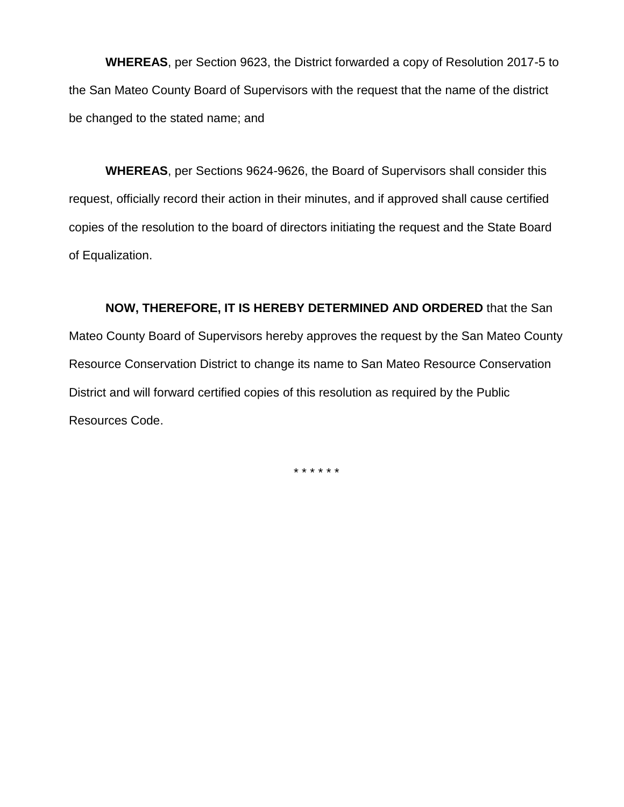**WHEREAS**, per Section 9623, the District forwarded a copy of Resolution 2017-5 to the San Mateo County Board of Supervisors with the request that the name of the district be changed to the stated name; and

**WHEREAS**, per Sections 9624-9626, the Board of Supervisors shall consider this request, officially record their action in their minutes, and if approved shall cause certified copies of the resolution to the board of directors initiating the request and the State Board of Equalization.

**NOW, THEREFORE, IT IS HEREBY DETERMINED AND ORDERED** that the San Mateo County Board of Supervisors hereby approves the request by the San Mateo County Resource Conservation District to change its name to San Mateo Resource Conservation District and will forward certified copies of this resolution as required by the Public Resources Code.

\* \* \* \* \* \*